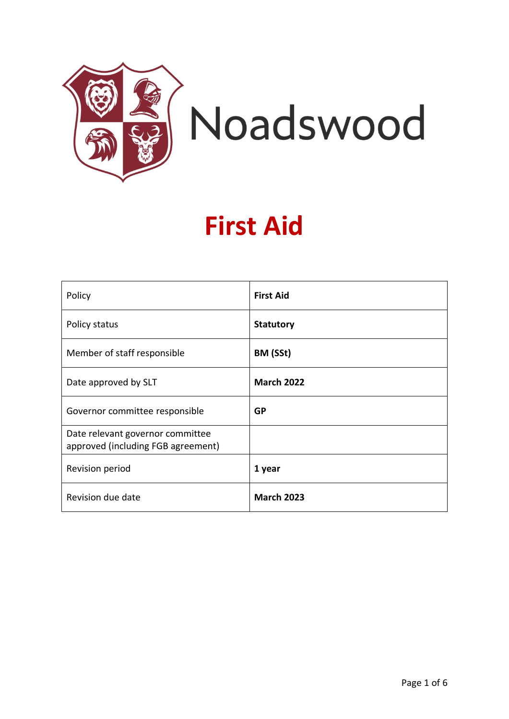

# **First Aid**

| Policy                                                                 | <b>First Aid</b>  |
|------------------------------------------------------------------------|-------------------|
| Policy status                                                          | <b>Statutory</b>  |
| Member of staff responsible                                            | BM (SSt)          |
| Date approved by SLT                                                   | <b>March 2022</b> |
| Governor committee responsible                                         | <b>GP</b>         |
| Date relevant governor committee<br>approved (including FGB agreement) |                   |
| Revision period                                                        | 1 year            |
| Revision due date                                                      | <b>March 2023</b> |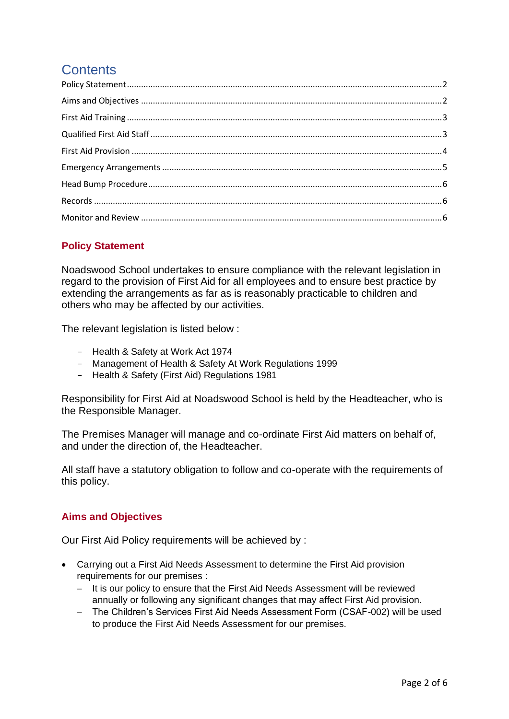# **Contents**

# <span id="page-1-0"></span>**Policy Statement**

Noadswood School undertakes to ensure compliance with the relevant legislation in regard to the provision of First Aid for all employees and to ensure best practice by extending the arrangements as far as is reasonably practicable to children and others who may be affected by our activities.

The relevant legislation is listed below :

- Health & Safety at Work Act 1974
- Management of Health & Safety At Work Regulations 1999
- Health & Safety (First Aid) Regulations 1981

Responsibility for First Aid at Noadswood School is held by the Headteacher, who is the Responsible Manager.

The Premises Manager will manage and co-ordinate First Aid matters on behalf of, and under the direction of, the Headteacher.

All staff have a statutory obligation to follow and co-operate with the requirements of this policy.

# <span id="page-1-1"></span>**Aims and Objectives**

Our First Aid Policy requirements will be achieved by :

- Carrying out a First Aid Needs Assessment to determine the First Aid provision requirements for our premises :
	- − It is our policy to ensure that the First Aid Needs Assessment will be reviewed annually or following any significant changes that may affect First Aid provision.
	- − The Children's Services First Aid Needs Assessment Form (CSAF-002) will be used to produce the First Aid Needs Assessment for our premises.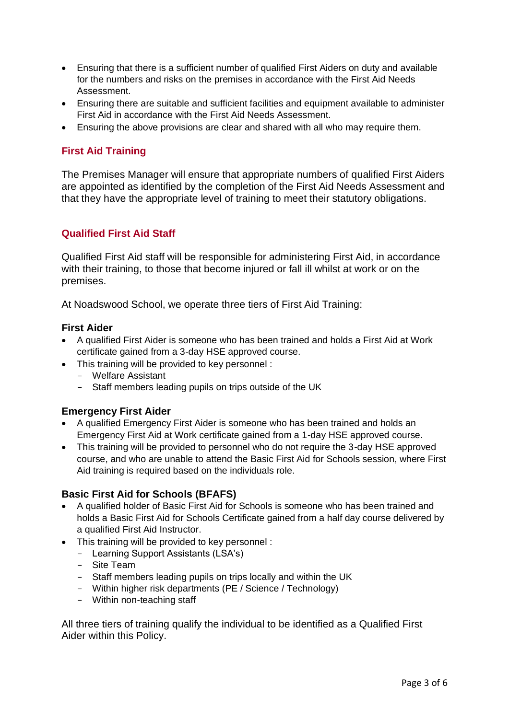- Ensuring that there is a sufficient number of qualified First Aiders on duty and available for the numbers and risks on the premises in accordance with the First Aid Needs Assessment.
- Ensuring there are suitable and sufficient facilities and equipment available to administer First Aid in accordance with the First Aid Needs Assessment.
- Ensuring the above provisions are clear and shared with all who may require them.

## <span id="page-2-0"></span>**First Aid Training**

The Premises Manager will ensure that appropriate numbers of qualified First Aiders are appointed as identified by the completion of the First Aid Needs Assessment and that they have the appropriate level of training to meet their statutory obligations.

#### <span id="page-2-1"></span>**Qualified First Aid Staff**

Qualified First Aid staff will be responsible for administering First Aid, in accordance with their training, to those that become injured or fall ill whilst at work or on the premises.

At Noadswood School, we operate three tiers of First Aid Training:

#### **First Aider**

- A qualified First Aider is someone who has been trained and holds a First Aid at Work certificate gained from a 3-day HSE approved course.
- This training will be provided to key personnel :
	- Welfare Assistant
	- Staff members leading pupils on trips outside of the UK

#### **Emergency First Aider**

- A qualified Emergency First Aider is someone who has been trained and holds an Emergency First Aid at Work certificate gained from a 1-day HSE approved course.
- This training will be provided to personnel who do not require the 3-day HSE approved course, and who are unable to attend the Basic First Aid for Schools session, where First Aid training is required based on the individuals role.

#### **Basic First Aid for Schools (BFAFS)**

- A qualified holder of Basic First Aid for Schools is someone who has been trained and holds a Basic First Aid for Schools Certificate gained from a half day course delivered by a qualified First Aid Instructor.
- This training will be provided to key personnel :
	- Learning Support Assistants (LSA's)
	- Site Team
	- Staff members leading pupils on trips locally and within the UK
	- Within higher risk departments (PE / Science / Technology)
	- Within non-teaching staff

All three tiers of training qualify the individual to be identified as a Qualified First Aider within this Policy.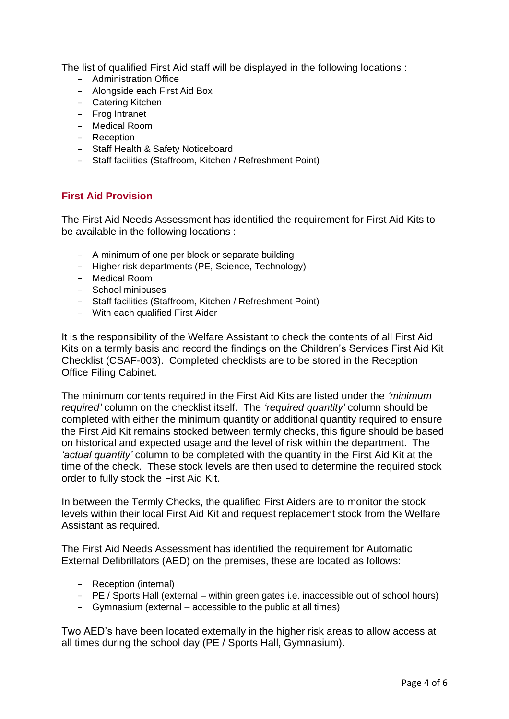The list of qualified First Aid staff will be displayed in the following locations :

- Administration Office
- Alongside each First Aid Box
- Catering Kitchen
- Frog Intranet
- Medical Room
- Reception
- Staff Health & Safety Noticeboard
- Staff facilities (Staffroom, Kitchen / Refreshment Point)

### <span id="page-3-0"></span>**First Aid Provision**

The First Aid Needs Assessment has identified the requirement for First Aid Kits to be available in the following locations :

- A minimum of one per block or separate building
- Higher risk departments (PE, Science, Technology)
- Medical Room
- School minibuses
- Staff facilities (Staffroom, Kitchen / Refreshment Point)
- With each qualified First Aider

It is the responsibility of the Welfare Assistant to check the contents of all First Aid Kits on a termly basis and record the findings on the Children's Services First Aid Kit Checklist (CSAF-003). Completed checklists are to be stored in the Reception Office Filing Cabinet.

The minimum contents required in the First Aid Kits are listed under the *'minimum required'* column on the checklist itself. The *'required quantity'* column should be completed with either the minimum quantity or additional quantity required to ensure the First Aid Kit remains stocked between termly checks, this figure should be based on historical and expected usage and the level of risk within the department. The *'actual quantity'* column to be completed with the quantity in the First Aid Kit at the time of the check. These stock levels are then used to determine the required stock order to fully stock the First Aid Kit.

In between the Termly Checks, the qualified First Aiders are to monitor the stock levels within their local First Aid Kit and request replacement stock from the Welfare Assistant as required.

The First Aid Needs Assessment has identified the requirement for Automatic External Defibrillators (AED) on the premises, these are located as follows:

- Reception (internal)
- PE / Sports Hall (external within green gates i.e. inaccessible out of school hours)
- Gymnasium (external accessible to the public at all times)

Two AED's have been located externally in the higher risk areas to allow access at all times during the school day (PE / Sports Hall, Gymnasium).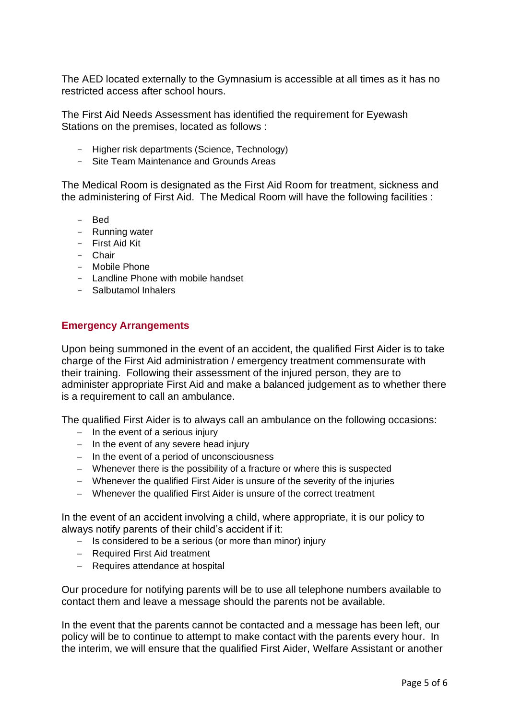The AED located externally to the Gymnasium is accessible at all times as it has no restricted access after school hours.

The First Aid Needs Assessment has identified the requirement for Eyewash Stations on the premises, located as follows :

- Higher risk departments (Science, Technology)
- Site Team Maintenance and Grounds Areas

The Medical Room is designated as the First Aid Room for treatment, sickness and the administering of First Aid. The Medical Room will have the following facilities :

- Bed
- Running water
- First Aid Kit
- Chair
- Mobile Phone
- Landline Phone with mobile handset
- Salbutamol Inhalers

#### <span id="page-4-0"></span>**Emergency Arrangements**

Upon being summoned in the event of an accident, the qualified First Aider is to take charge of the First Aid administration / emergency treatment commensurate with their training. Following their assessment of the injured person, they are to administer appropriate First Aid and make a balanced judgement as to whether there is a requirement to call an ambulance.

The qualified First Aider is to always call an ambulance on the following occasions:

- − In the event of a serious injury
- − In the event of any severe head injury
- − In the event of a period of unconsciousness
- − Whenever there is the possibility of a fracture or where this is suspected
- − Whenever the qualified First Aider is unsure of the severity of the injuries
- − Whenever the qualified First Aider is unsure of the correct treatment

In the event of an accident involving a child, where appropriate, it is our policy to always notify parents of their child's accident if it:

- − Is considered to be a serious (or more than minor) injury
- − Required First Aid treatment
- − Requires attendance at hospital

Our procedure for notifying parents will be to use all telephone numbers available to contact them and leave a message should the parents not be available.

In the event that the parents cannot be contacted and a message has been left, our policy will be to continue to attempt to make contact with the parents every hour. In the interim, we will ensure that the qualified First Aider, Welfare Assistant or another